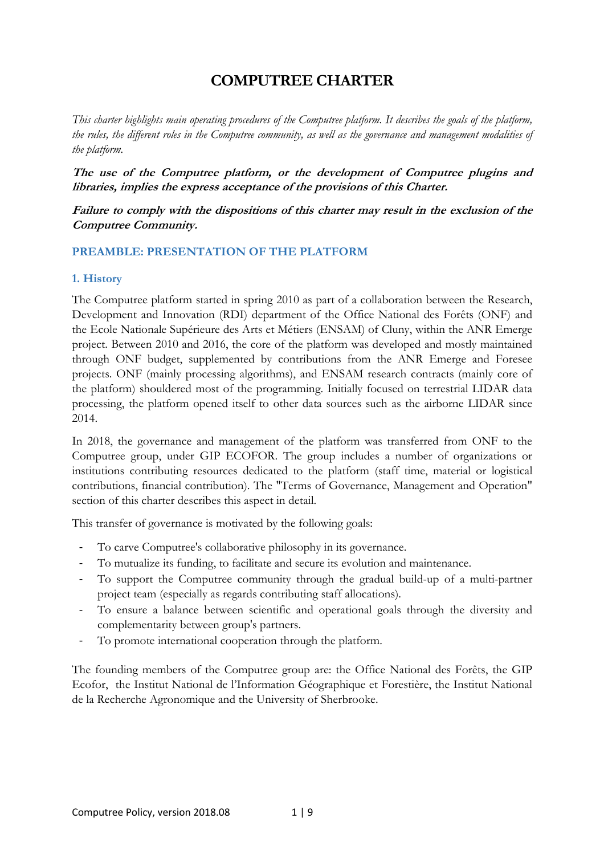# **COMPUTREE CHARTER**

*This charter highlights main operating procedures of the Computree platform. It describes the goals of the platform, the rules, the different roles in the Computree community, as well as the governance and management modalities of the platform.* 

**The use of the Computree platform, or the development of Computree plugins and libraries, implies the express acceptance of the provisions of this Charter.** 

**Failure to comply with the dispositions of this charter may result in the exclusion of the Computree Community.** 

# **PREAMBLE: PRESENTATION OF THE PLATFORM**

# **1. History**

The Computree platform started in spring 2010 as part of a collaboration between the Research, Development and Innovation (RDI) department of the Office National des Forêts (ONF) and the Ecole Nationale Supérieure des Arts et Métiers (ENSAM) of Cluny, within the ANR Emerge project. Between 2010 and 2016, the core of the platform was developed and mostly maintained through ONF budget, supplemented by contributions from the ANR Emerge and Foresee projects. ONF (mainly processing algorithms), and ENSAM research contracts (mainly core of the platform) shouldered most of the programming. Initially focused on terrestrial LIDAR data processing, the platform opened itself to other data sources such as the airborne LIDAR since 2014.

In 2018, the governance and management of the platform was transferred from ONF to the Computree group, under GIP ECOFOR. The group includes a number of organizations or institutions contributing resources dedicated to the platform (staff time, material or logistical contributions, financial contribution). The "Terms of Governance, Management and Operation" section of this charter describes this aspect in detail.

This transfer of governance is motivated by the following goals:

- To carve Computree's collaborative philosophy in its governance.
- To mutualize its funding, to facilitate and secure its evolution and maintenance.
- To support the Computree community through the gradual build-up of a multi-partner project team (especially as regards contributing staff allocations).
- To ensure a balance between scientific and operational goals through the diversity and complementarity between group's partners.
- To promote international cooperation through the platform.

The founding members of the Computree group are: the Office National des Forêts, the GIP Ecofor, the Institut National de l'Information Géographique et Forestière, the Institut National de la Recherche Agronomique and the University of Sherbrooke.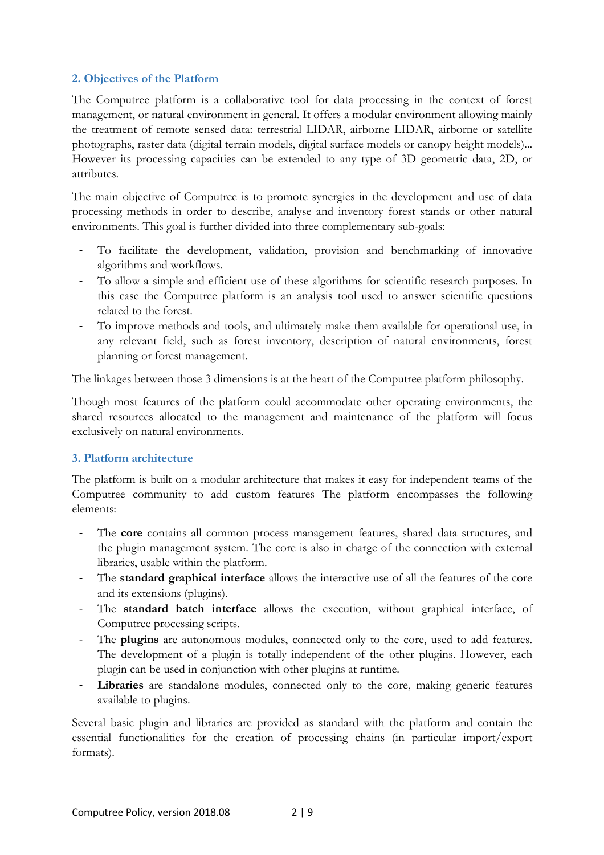# **2. Objectives of the Platform**

The Computree platform is a collaborative tool for data processing in the context of forest management, or natural environment in general. It offers a modular environment allowing mainly the treatment of remote sensed data: terrestrial LIDAR, airborne LIDAR, airborne or satellite photographs, raster data (digital terrain models, digital surface models or canopy height models)... However its processing capacities can be extended to any type of 3D geometric data, 2D, or attributes.

The main objective of Computree is to promote synergies in the development and use of data processing methods in order to describe, analyse and inventory forest stands or other natural environments. This goal is further divided into three complementary sub-goals:

- To facilitate the development, validation, provision and benchmarking of innovative algorithms and workflows.
- To allow a simple and efficient use of these algorithms for scientific research purposes. In this case the Computree platform is an analysis tool used to answer scientific questions related to the forest.
- To improve methods and tools, and ultimately make them available for operational use, in any relevant field, such as forest inventory, description of natural environments, forest planning or forest management.

The linkages between those 3 dimensions is at the heart of the Computree platform philosophy.

Though most features of the platform could accommodate other operating environments, the shared resources allocated to the management and maintenance of the platform will focus exclusively on natural environments.

#### **3. Platform architecture**

The platform is built on a modular architecture that makes it easy for independent teams of the Computree community to add custom features The platform encompasses the following elements:

- The **core** contains all common process management features, shared data structures, and the plugin management system. The core is also in charge of the connection with external libraries, usable within the platform.
- The **standard graphical interface** allows the interactive use of all the features of the core and its extensions (plugins).
- The **standard batch interface** allows the execution, without graphical interface, of Computree processing scripts.
- The **plugins** are autonomous modules, connected only to the core, used to add features. The development of a plugin is totally independent of the other plugins. However, each plugin can be used in conjunction with other plugins at runtime.
- Libraries are standalone modules, connected only to the core, making generic features available to plugins.

Several basic plugin and libraries are provided as standard with the platform and contain the essential functionalities for the creation of processing chains (in particular import/export formats).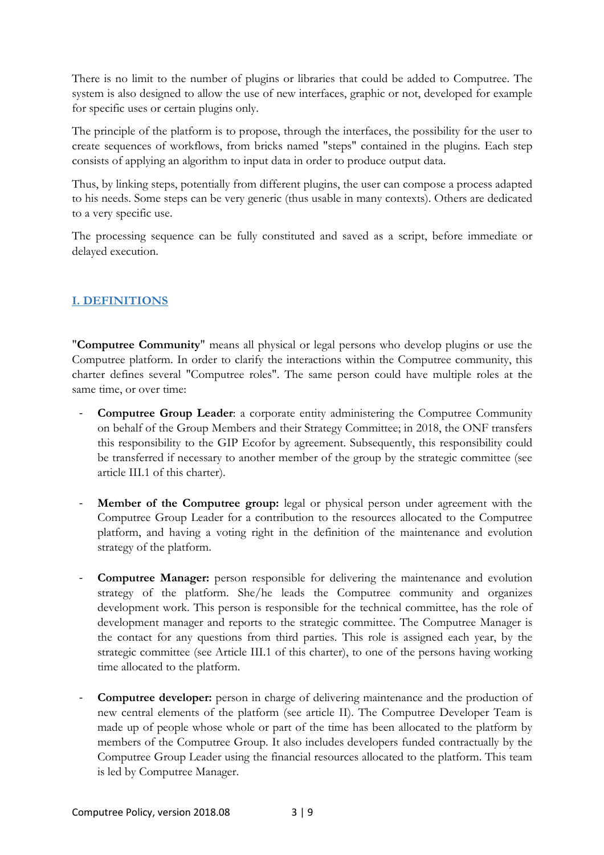There is no limit to the number of plugins or libraries that could be added to Computree. The system is also designed to allow the use of new interfaces, graphic or not, developed for example for specific uses or certain plugins only.

The principle of the platform is to propose, through the interfaces, the possibility for the user to create sequences of workflows, from bricks named "steps" contained in the plugins. Each step consists of applying an algorithm to input data in order to produce output data.

Thus, by linking steps, potentially from different plugins, the user can compose a process adapted to his needs. Some steps can be very generic (thus usable in many contexts). Others are dedicated to a very specific use.

The processing sequence can be fully constituted and saved as a script, before immediate or delayed execution.

# **I. DEFINITIONS**

"**Computree Community**" means all physical or legal persons who develop plugins or use the Computree platform. In order to clarify the interactions within the Computree community, this charter defines several "Computree roles". The same person could have multiple roles at the same time, or over time:

- **Computree Group Leader:** a corporate entity administering the Computree Community on behalf of the Group Members and their Strategy Committee; in 2018, the ONF transfers this responsibility to the GIP Ecofor by agreement. Subsequently, this responsibility could be transferred if necessary to another member of the group by the strategic committee (see article III.1 of this charter).
- **Member of the Computree group:** legal or physical person under agreement with the Computree Group Leader for a contribution to the resources allocated to the Computree platform, and having a voting right in the definition of the maintenance and evolution strategy of the platform.
- **Computree Manager:** person responsible for delivering the maintenance and evolution strategy of the platform. She/he leads the Computree community and organizes development work. This person is responsible for the technical committee, has the role of development manager and reports to the strategic committee. The Computree Manager is the contact for any questions from third parties. This role is assigned each year, by the strategic committee (see Article III.1 of this charter), to one of the persons having working time allocated to the platform.
- **Computree developer:** person in charge of delivering maintenance and the production of new central elements of the platform (see article II). The Computree Developer Team is made up of people whose whole or part of the time has been allocated to the platform by members of the Computree Group. It also includes developers funded contractually by the Computree Group Leader using the financial resources allocated to the platform. This team is led by Computree Manager.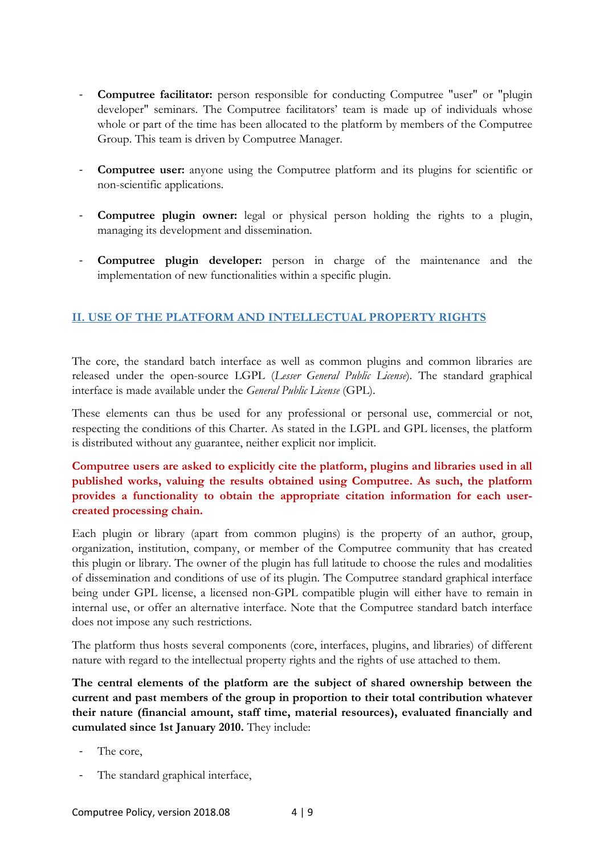- **Computree facilitator:** person responsible for conducting Computree "user" or "plugin developer" seminars. The Computree facilitators' team is made up of individuals whose whole or part of the time has been allocated to the platform by members of the Computree Group. This team is driven by Computree Manager.
- **Computree user:** anyone using the Computree platform and its plugins for scientific or non-scientific applications.
- **Computree plugin owner:** legal or physical person holding the rights to a plugin, managing its development and dissemination.
- Computree plugin developer: person in charge of the maintenance and the implementation of new functionalities within a specific plugin.

# **II. USE OF THE PLATFORM AND INTELLECTUAL PROPERTY RIGHTS**

The core, the standard batch interface as well as common plugins and common libraries are released under the open-source LGPL (*Lesser General Public License*). The standard graphical interface is made available under the *General Public License* (GPL).

These elements can thus be used for any professional or personal use, commercial or not, respecting the conditions of this Charter. As stated in the LGPL and GPL licenses, the platform is distributed without any guarantee, neither explicit nor implicit.

# **Computree users are asked to explicitly cite the platform, plugins and libraries used in all published works, valuing the results obtained using Computree. As such, the platform provides a functionality to obtain the appropriate citation information for each usercreated processing chain.**

Each plugin or library (apart from common plugins) is the property of an author, group, organization, institution, company, or member of the Computree community that has created this plugin or library. The owner of the plugin has full latitude to choose the rules and modalities of dissemination and conditions of use of its plugin. The Computree standard graphical interface being under GPL license, a licensed non-GPL compatible plugin will either have to remain in internal use, or offer an alternative interface. Note that the Computree standard batch interface does not impose any such restrictions.

The platform thus hosts several components (core, interfaces, plugins, and libraries) of different nature with regard to the intellectual property rights and the rights of use attached to them.

**The central elements of the platform are the subject of shared ownership between the current and past members of the group in proportion to their total contribution whatever their nature (financial amount, staff time, material resources), evaluated financially and cumulated since 1st January 2010.** They include:

- The core.
- The standard graphical interface,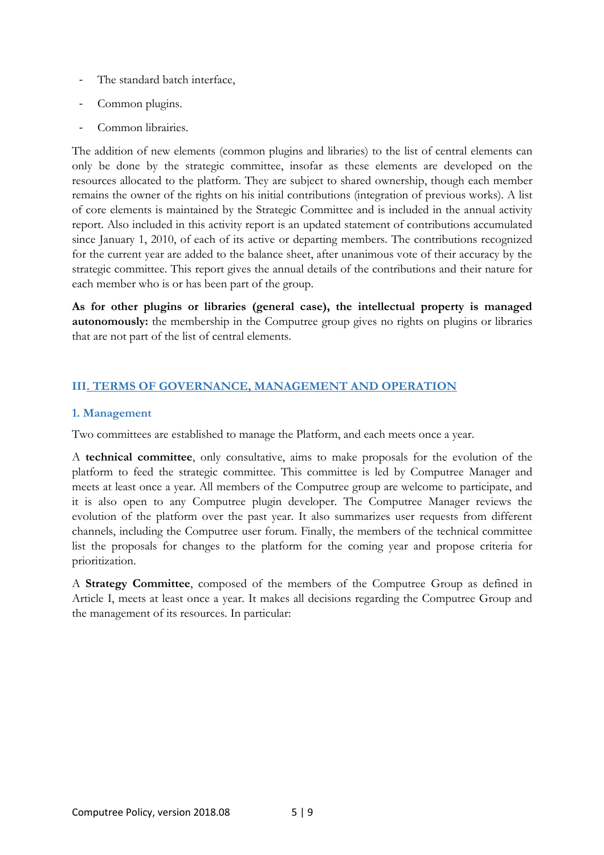- The standard batch interface,
- Common plugins.
- Common librairies.

The addition of new elements (common plugins and libraries) to the list of central elements can only be done by the strategic committee, insofar as these elements are developed on the resources allocated to the platform. They are subject to shared ownership, though each member remains the owner of the rights on his initial contributions (integration of previous works). A list of core elements is maintained by the Strategic Committee and is included in the annual activity report. Also included in this activity report is an updated statement of contributions accumulated since January 1, 2010, of each of its active or departing members. The contributions recognized for the current year are added to the balance sheet, after unanimous vote of their accuracy by the strategic committee. This report gives the annual details of the contributions and their nature for each member who is or has been part of the group.

**As for other plugins or libraries (general case), the intellectual property is managed autonomously:** the membership in the Computree group gives no rights on plugins or libraries that are not part of the list of central elements.

# **III. TERMS OF GOVERNANCE, MANAGEMENT AND OPERATION**

# **1. Management**

Two committees are established to manage the Platform, and each meets once a year.

A **technical committee**, only consultative, aims to make proposals for the evolution of the platform to feed the strategic committee. This committee is led by Computree Manager and meets at least once a year. All members of the Computree group are welcome to participate, and it is also open to any Computree plugin developer. The Computree Manager reviews the evolution of the platform over the past year. It also summarizes user requests from different channels, including the Computree user forum. Finally, the members of the technical committee list the proposals for changes to the platform for the coming year and propose criteria for prioritization.

A **Strategy Committee**, composed of the members of the Computree Group as defined in Article I, meets at least once a year. It makes all decisions regarding the Computree Group and the management of its resources. In particular: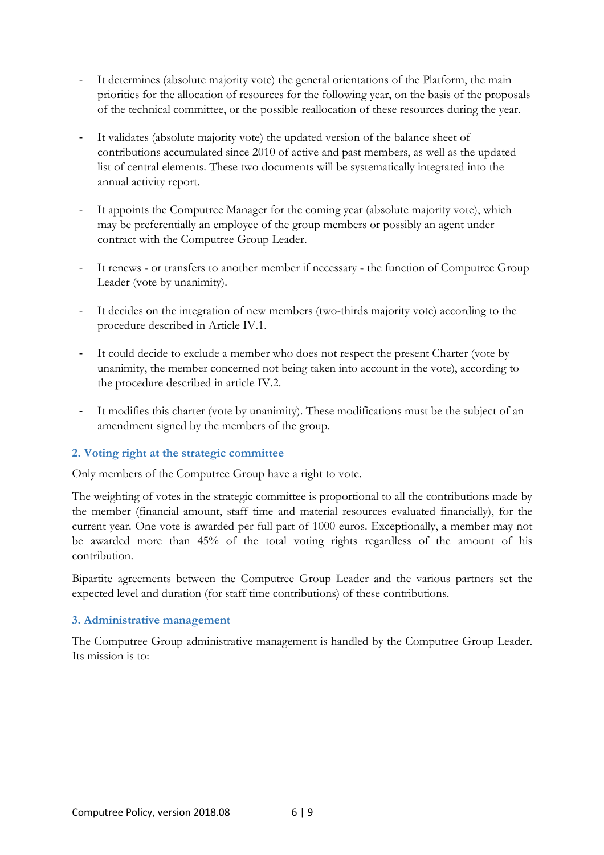- It determines (absolute majority vote) the general orientations of the Platform, the main priorities for the allocation of resources for the following year, on the basis of the proposals of the technical committee, or the possible reallocation of these resources during the year.
- It validates (absolute majority vote) the updated version of the balance sheet of contributions accumulated since 2010 of active and past members, as well as the updated list of central elements. These two documents will be systematically integrated into the annual activity report.
- It appoints the Computree Manager for the coming year (absolute majority vote), which may be preferentially an employee of the group members or possibly an agent under contract with the Computree Group Leader.
- It renews or transfers to another member if necessary the function of Computree Group Leader (vote by unanimity).
- It decides on the integration of new members (two-thirds majority vote) according to the procedure described in Article IV.1.
- It could decide to exclude a member who does not respect the present Charter (vote by unanimity, the member concerned not being taken into account in the vote), according to the procedure described in article IV.2.
- It modifies this charter (vote by unanimity). These modifications must be the subject of an amendment signed by the members of the group.

#### **2. Voting right at the strategic committee**

Only members of the Computree Group have a right to vote.

The weighting of votes in the strategic committee is proportional to all the contributions made by the member (financial amount, staff time and material resources evaluated financially), for the current year. One vote is awarded per full part of 1000 euros. Exceptionally, a member may not be awarded more than 45% of the total voting rights regardless of the amount of his contribution.

Bipartite agreements between the Computree Group Leader and the various partners set the expected level and duration (for staff time contributions) of these contributions.

#### **3. Administrative management**

The Computree Group administrative management is handled by the Computree Group Leader. Its mission is to: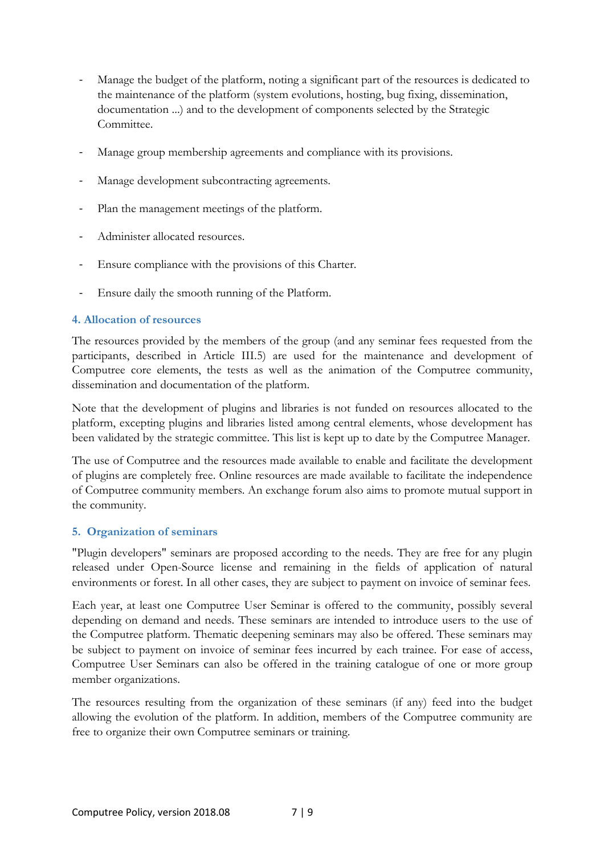- Manage the budget of the platform, noting a significant part of the resources is dedicated to the maintenance of the platform (system evolutions, hosting, bug fixing, dissemination, documentation ...) and to the development of components selected by the Strategic Committee.
- Manage group membership agreements and compliance with its provisions.
- Manage development subcontracting agreements.
- Plan the management meetings of the platform.
- Administer allocated resources.
- Ensure compliance with the provisions of this Charter.
- Ensure daily the smooth running of the Platform.

#### **4. Allocation of resources**

The resources provided by the members of the group (and any seminar fees requested from the participants, described in Article III.5) are used for the maintenance and development of Computree core elements, the tests as well as the animation of the Computree community, dissemination and documentation of the platform.

Note that the development of plugins and libraries is not funded on resources allocated to the platform, excepting plugins and libraries listed among central elements, whose development has been validated by the strategic committee. This list is kept up to date by the Computree Manager.

The use of Computree and the resources made available to enable and facilitate the development of plugins are completely free. Online resources are made available to facilitate the independence of Computree community members. An exchange forum also aims to promote mutual support in the community.

#### **5. Organization of seminars**

"Plugin developers" seminars are proposed according to the needs. They are free for any plugin released under Open-Source license and remaining in the fields of application of natural environments or forest. In all other cases, they are subject to payment on invoice of seminar fees.

Each year, at least one Computree User Seminar is offered to the community, possibly several depending on demand and needs. These seminars are intended to introduce users to the use of the Computree platform. Thematic deepening seminars may also be offered. These seminars may be subject to payment on invoice of seminar fees incurred by each trainee. For ease of access, Computree User Seminars can also be offered in the training catalogue of one or more group member organizations.

The resources resulting from the organization of these seminars (if any) feed into the budget allowing the evolution of the platform. In addition, members of the Computree community are free to organize their own Computree seminars or training.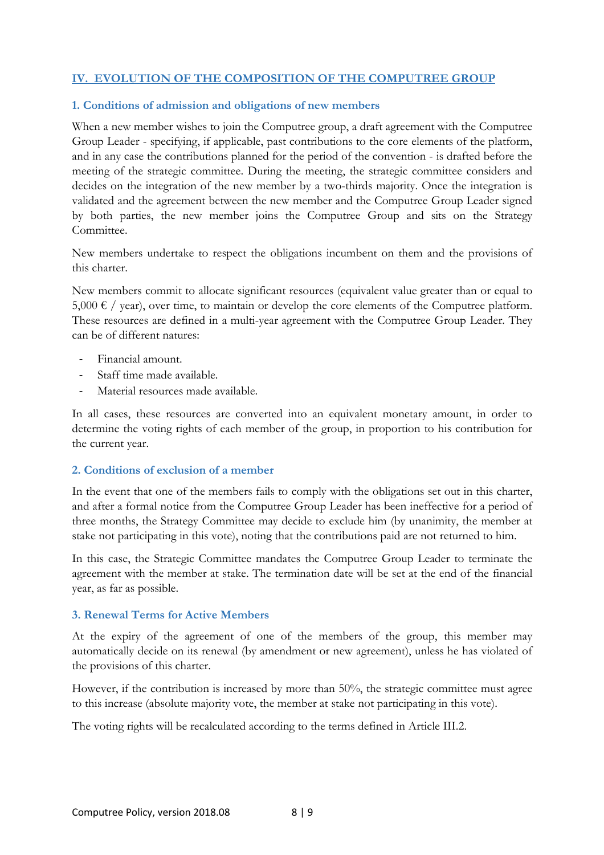# **IV. EVOLUTION OF THE COMPOSITION OF THE COMPUTREE GROUP**

#### **1. Conditions of admission and obligations of new members**

When a new member wishes to join the Computree group, a draft agreement with the Computree Group Leader - specifying, if applicable, past contributions to the core elements of the platform, and in any case the contributions planned for the period of the convention - is drafted before the meeting of the strategic committee. During the meeting, the strategic committee considers and decides on the integration of the new member by a two-thirds majority. Once the integration is validated and the agreement between the new member and the Computree Group Leader signed by both parties, the new member joins the Computree Group and sits on the Strategy Committee.

New members undertake to respect the obligations incumbent on them and the provisions of this charter.

New members commit to allocate significant resources (equivalent value greater than or equal to  $5,000 \in /$  year), over time, to maintain or develop the core elements of the Computree platform. These resources are defined in a multi-year agreement with the Computree Group Leader. They can be of different natures:

- Financial amount.
- Staff time made available.
- Material resources made available.

In all cases, these resources are converted into an equivalent monetary amount, in order to determine the voting rights of each member of the group, in proportion to his contribution for the current year.

#### **2. Conditions of exclusion of a member**

In the event that one of the members fails to comply with the obligations set out in this charter, and after a formal notice from the Computree Group Leader has been ineffective for a period of three months, the Strategy Committee may decide to exclude him (by unanimity, the member at stake not participating in this vote), noting that the contributions paid are not returned to him.

In this case, the Strategic Committee mandates the Computree Group Leader to terminate the agreement with the member at stake. The termination date will be set at the end of the financial year, as far as possible.

#### **3. Renewal Terms for Active Members**

At the expiry of the agreement of one of the members of the group, this member may automatically decide on its renewal (by amendment or new agreement), unless he has violated of the provisions of this charter.

However, if the contribution is increased by more than 50%, the strategic committee must agree to this increase (absolute majority vote, the member at stake not participating in this vote).

The voting rights will be recalculated according to the terms defined in Article III.2.